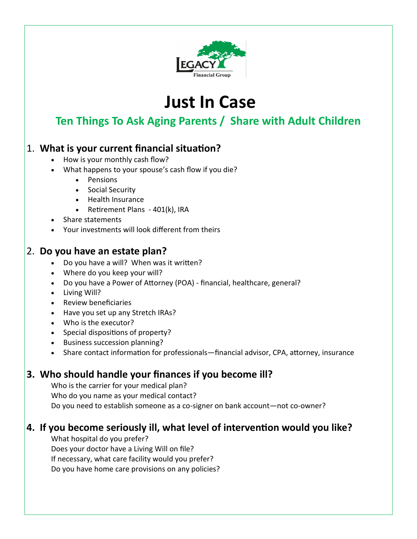

# **Just In Case**

# **Ten Things To Ask Aging Parents / Share with Adult Children**

#### 1. **What is your current financial situation?**

- How is your monthly cash flow?
- What happens to your spouse's cash flow if you die?
	- Pensions
	- Social Security
	- Health Insurance
	- Retirement Plans 401(k), IRA
- Share statements
- Your investments will look different from theirs

#### 2. **Do you have an estate plan?**

- Do you have a will? When was it written?
- Where do you keep your will?
- Do you have a Power of Attorney (POA) financial, healthcare, general?
- Living Will?
- Review beneficiaries
- Have you set up any Stretch IRAs?
- Who is the executor?
- Special dispositions of property?
- Business succession planning?
- Share contact information for professionals—financial advisor, CPA, attorney, insurance

#### **3. Who should handle your finances if you become ill?**

Who is the carrier for your medical plan? Who do you name as your medical contact? Do you need to establish someone as a co-signer on bank account—not co-owner?

#### **4. If you become seriously ill, what level of intervention would you like?**

What hospital do you prefer? Does your doctor have a Living Will on file? If necessary, what care facility would you prefer? Do you have home care provisions on any policies?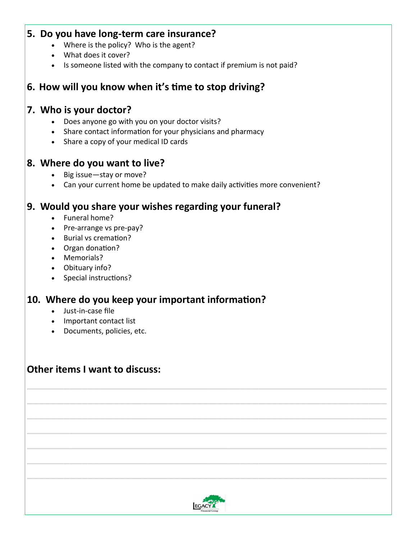#### **5. Do you have long-term care insurance?**

- Where is the policy? Who is the agent?
- What does it cover?
- Is someone listed with the company to contact if premium is not paid?

#### **6. How will you know when it's time to stop driving?**

#### **7. Who is your doctor?**

- Does anyone go with you on your doctor visits?
- Share contact information for your physicians and pharmacy
- Share a copy of your medical ID cards

#### **8. Where do you want to live?**

- Big issue—stay or move?
- Can your current home be updated to make daily activities more convenient?

#### **9. Would you share your wishes regarding your funeral?**

- Funeral home?
- Pre-arrange vs pre-pay?
- Burial vs cremation?
- Organ donation?
- Memorials?
- Obituary info?
- Special instructions?

#### **10. Where do you keep your important information?**

- Just-in-case file
- Important contact list
- Documents, policies, etc.

#### **Other items I want to discuss:**



**\_\_\_\_\_\_\_\_\_\_\_\_\_\_\_\_\_\_\_\_\_\_\_\_\_\_\_\_\_\_\_\_\_\_\_\_\_\_\_\_\_\_\_\_\_\_\_\_\_\_\_\_\_\_\_\_\_\_\_**

**\_\_\_\_\_\_\_\_\_\_\_\_\_\_\_\_\_\_\_\_\_\_\_\_\_\_\_\_\_\_\_\_\_\_\_\_\_\_\_\_\_\_\_\_\_\_\_\_\_\_\_\_\_\_\_\_\_\_\_**

**\_\_\_\_\_\_\_\_\_\_\_\_\_\_\_\_\_\_\_\_\_\_\_\_\_\_\_\_\_\_\_\_\_\_\_\_\_\_\_\_\_\_\_\_\_\_\_\_\_\_\_\_\_\_\_\_\_\_\_**

**\_\_\_\_\_\_\_\_\_\_\_\_\_\_\_\_\_\_\_\_\_\_\_\_\_\_\_\_\_\_\_\_\_\_\_\_\_\_\_\_\_\_\_\_\_\_\_\_\_\_\_\_\_\_\_\_\_\_\_**

**\_\_\_\_\_\_\_\_\_\_\_\_\_\_\_\_\_\_\_\_\_\_\_\_\_\_\_\_\_\_\_\_\_\_\_\_\_\_\_\_\_\_\_\_\_\_\_\_\_\_\_\_\_\_\_\_\_\_\_**

**\_\_\_\_\_\_\_\_\_\_\_\_\_\_\_\_\_\_\_\_\_\_\_\_\_\_\_\_\_\_\_\_\_\_\_\_\_\_\_\_\_\_\_\_\_\_\_\_\_\_\_\_\_\_\_\_\_\_\_**

**\_\_\_\_\_\_\_\_\_\_\_\_\_\_\_\_\_\_\_\_\_\_\_\_\_\_\_\_\_\_\_\_\_\_\_\_\_\_\_\_\_\_\_\_\_\_\_\_\_\_\_\_\_\_\_\_\_\_\_**